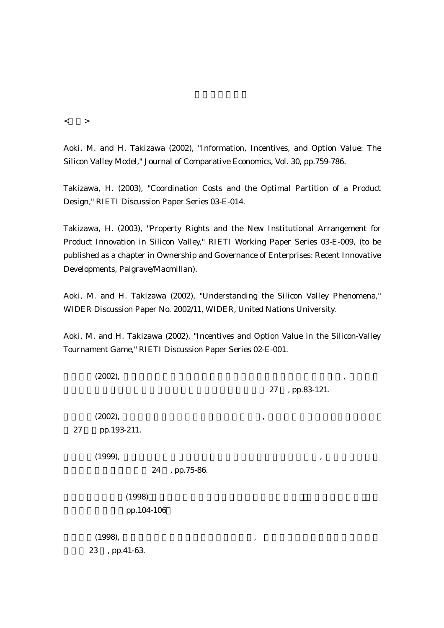$\langle$  >

Aoki, M. and H. Takizawa (2002), "Information, Incentives, and Option Value: The Silicon Valley Model," Journal of Comparative Economics, Vol. 30, pp.759-786.

Takizawa, H. (2003), "Coordination Costs and the Optimal Partition of a Product Design," RIETI Discussion Paper Series 03-E-014.

Takizawa, H. (2003), "Property Rights and the New Institutional Arrangement for Product Innovation in Silicon Valley," RIETI Working Paper Series 03-E-009, (to be published as a chapter in Ownership and Governance of Enterprises: Recent Innovative Developments, Palgrave/Macmillan).

Aoki, M. and H. Takizawa (2002), "Understanding the Silicon Valley Phenomena," WIDER Discussion Paper No. 2002/11, WIDER, United Nations University.

Aoki, M. and H. Takizawa (2002), "Incentives and Option Value in the Silicon-Valley Tournament Game," RIETI Discussion Paper Series 02-E-001.

 $(2002)$ ,  $\hspace{2.5cm}$  ,  $\hspace{2.5cm}$ 

27 , pp.83-121.

 $(2002)$ ,  $\hspace{2.5cm}$ ,  $(2002)$ ,  $\hspace{2.5cm}$ 

27 pp.193-211.

 $(1999),$   $\hspace{2.5cm},$ 

24 , pp.75-86.

 $(1998)$ pp.104-106

 $(1998)$ ,  $(1998)$ ,  $(1998)$ 23 , pp.41-63.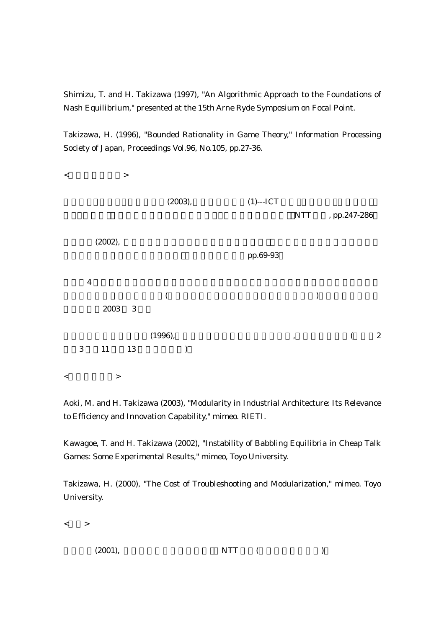Shimizu, T. and H. Takizawa (1997), "An Algorithmic Approach to the Foundations of Nash Equilibrium," presented at the 15th Arne Ryde Symposium on Focal Point.

Takizawa, H. (1996), "Bounded Rationality in Game Theory," Information Processing Society of Japan, Proceedings Vol.96, No.105, pp.27-36.



Aoki, M. and H. Takizawa (2003), "Modularity in Industrial Architecture: Its Relevance to Efficiency and Innovation Capability," mimeo. RIETI.

Kawagoe, T. and H. Takizawa (2002), "Instability of Babbling Equilibria in Cheap Talk Games: Some Experimental Results," mimeo, Toyo University.

Takizawa, H. (2000), "The Cost of Troubleshooting and Modularization," mimeo. Toyo University.

 $\lt$  >

| (2001), | <b>NTT</b><br>the contract of the contract of the contract of the contract of the contract of |  |
|---------|-----------------------------------------------------------------------------------------------|--|
|---------|-----------------------------------------------------------------------------------------------|--|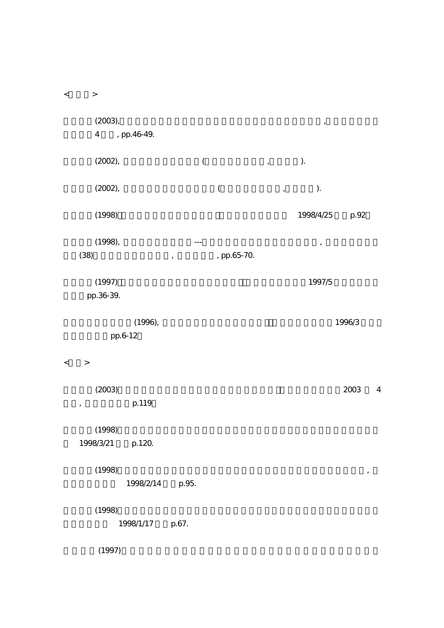$\langle \qquad \rangle$  $(2003)$ ,  $(2003)$ 4 , pp.46-49.  $(2002)$ ,  $($   $,$   $)$ .  $(2002)$ ,  $($   $,$   $)$ . (1998)  $1998/4/25$   $p.92$  $(1998)$ ,  $---$ (38)  $\,$ , pp.65-70.  $(1997)$   $1997/5$ pp.36-39.  $(1996),$   $1996/3$ pp.6-12  $\langle$  >  $(2003)$  2003 4 , p.119  $(1998)$ 1998/3/21 p.120.  $(1998)$ ,  $(1998)$ 1998/2/14 p.95.  $(1998)$  $1998/1/17$  p.67.  $(1997)$